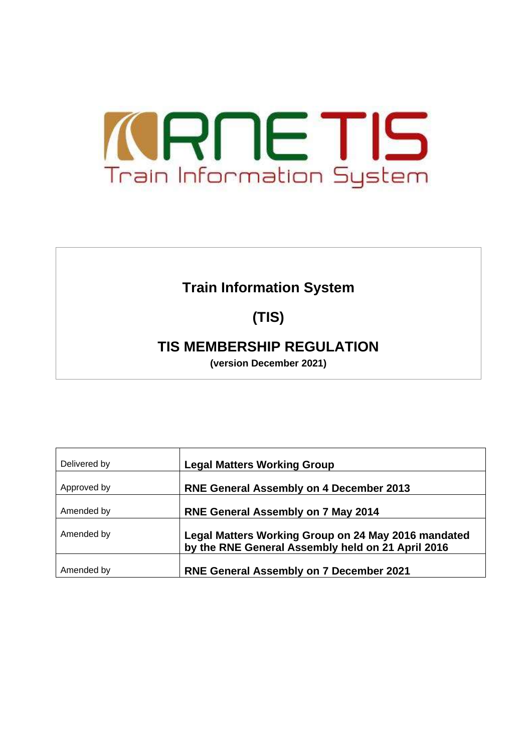

# **Train Information System**

# **(TIS)**

# **TIS MEMBERSHIP REGULATION**

**(version December 2021)**

| Delivered by | <b>Legal Matters Working Group</b>                                                                       |
|--------------|----------------------------------------------------------------------------------------------------------|
| Approved by  | <b>RNE General Assembly on 4 December 2013</b>                                                           |
| Amended by   | <b>RNE General Assembly on 7 May 2014</b>                                                                |
| Amended by   | Legal Matters Working Group on 24 May 2016 mandated<br>by the RNE General Assembly held on 21 April 2016 |
| Amended by   | <b>RNE General Assembly on 7 December 2021</b>                                                           |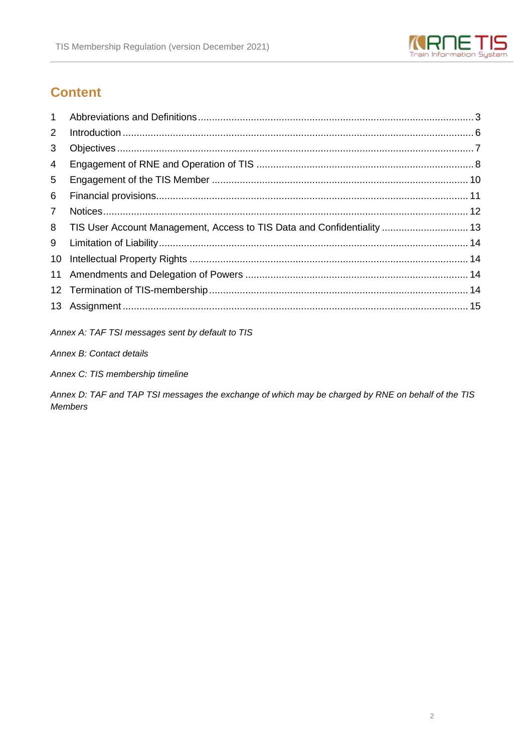

# **Content**

| TIS User Account Management, Access to TIS Data and Confidentiality  13 |
|-------------------------------------------------------------------------|

Annex A: TAF TSI messages sent by default to TIS

Annex B: Contact details

Annex C: TIS membership timeline

Annex D: TAF and TAP TSI messages the exchange of which may be charged by RNE on behalf of the TIS **Members**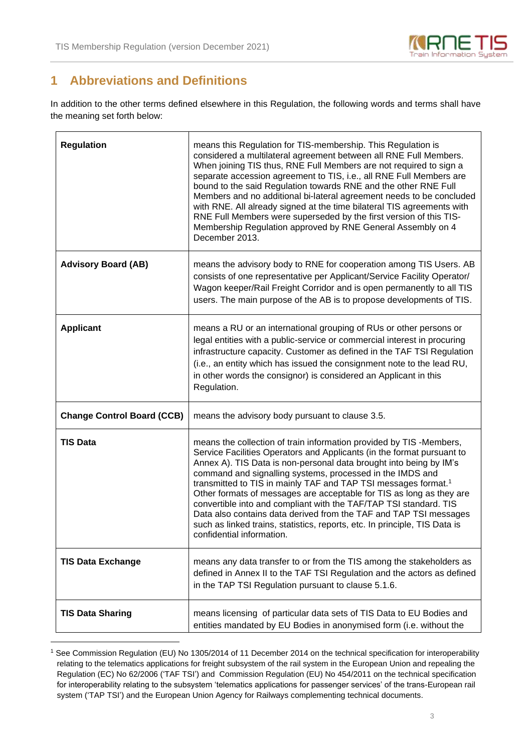

# **1 Abbreviations and Definitions**

In addition to the other terms defined elsewhere in this Regulation, the following words and terms shall have the meaning set forth below:

| <b>Regulation</b>                 | means this Regulation for TIS-membership. This Regulation is<br>considered a multilateral agreement between all RNE Full Members.<br>When joining TIS thus, RNE Full Members are not required to sign a<br>separate accession agreement to TIS, i.e., all RNE Full Members are<br>bound to the said Regulation towards RNE and the other RNE Full<br>Members and no additional bi-lateral agreement needs to be concluded<br>with RNE. All already signed at the time bilateral TIS agreements with<br>RNE Full Members were superseded by the first version of this TIS-<br>Membership Regulation approved by RNE General Assembly on 4<br>December 2013.                                  |  |  |  |  |  |
|-----------------------------------|---------------------------------------------------------------------------------------------------------------------------------------------------------------------------------------------------------------------------------------------------------------------------------------------------------------------------------------------------------------------------------------------------------------------------------------------------------------------------------------------------------------------------------------------------------------------------------------------------------------------------------------------------------------------------------------------|--|--|--|--|--|
| <b>Advisory Board (AB)</b>        | means the advisory body to RNE for cooperation among TIS Users. AB<br>consists of one representative per Applicant/Service Facility Operator/<br>Wagon keeper/Rail Freight Corridor and is open permanently to all TIS<br>users. The main purpose of the AB is to propose developments of TIS.                                                                                                                                                                                                                                                                                                                                                                                              |  |  |  |  |  |
| <b>Applicant</b>                  | means a RU or an international grouping of RUs or other persons or<br>legal entities with a public-service or commercial interest in procuring<br>infrastructure capacity. Customer as defined in the TAF TSI Regulation<br>(i.e., an entity which has issued the consignment note to the lead RU,<br>in other words the consignor) is considered an Applicant in this<br>Regulation.                                                                                                                                                                                                                                                                                                       |  |  |  |  |  |
| <b>Change Control Board (CCB)</b> | means the advisory body pursuant to clause 3.5.                                                                                                                                                                                                                                                                                                                                                                                                                                                                                                                                                                                                                                             |  |  |  |  |  |
| <b>TIS Data</b>                   | means the collection of train information provided by TIS -Members,<br>Service Facilities Operators and Applicants (in the format pursuant to<br>Annex A). TIS Data is non-personal data brought into being by IM's<br>command and signalling systems, processed in the IMDS and<br>transmitted to TIS in mainly TAF and TAP TSI messages format. <sup>1</sup><br>Other formats of messages are acceptable for TIS as long as they are<br>convertible into and compliant with the TAF/TAP TSI standard. TIS<br>Data also contains data derived from the TAF and TAP TSI messages<br>such as linked trains, statistics, reports, etc. In principle, TIS Data is<br>confidential information. |  |  |  |  |  |
| <b>TIS Data Exchange</b>          | means any data transfer to or from the TIS among the stakeholders as<br>defined in Annex II to the TAF TSI Regulation and the actors as defined<br>in the TAP TSI Regulation pursuant to clause 5.1.6.                                                                                                                                                                                                                                                                                                                                                                                                                                                                                      |  |  |  |  |  |
| <b>TIS Data Sharing</b>           | means licensing of particular data sets of TIS Data to EU Bodies and<br>entities mandated by EU Bodies in anonymised form (i.e. without the                                                                                                                                                                                                                                                                                                                                                                                                                                                                                                                                                 |  |  |  |  |  |

<sup>1</sup> See Commission Regulation (EU) No 1305/2014 of 11 December 2014 on the technical specification for interoperability relating to the telematics applications for freight subsystem of the rail system in the European Union and repealing the Regulation (EC) No 62/2006 ('TAF TSI') and Commission Regulation (EU) No 454/2011 on the technical specification for interoperability relating to the subsystem 'telematics applications for passenger services' of the trans-European rail system ('TAP TSI') and the European Union Agency for Railways complementing technical documents.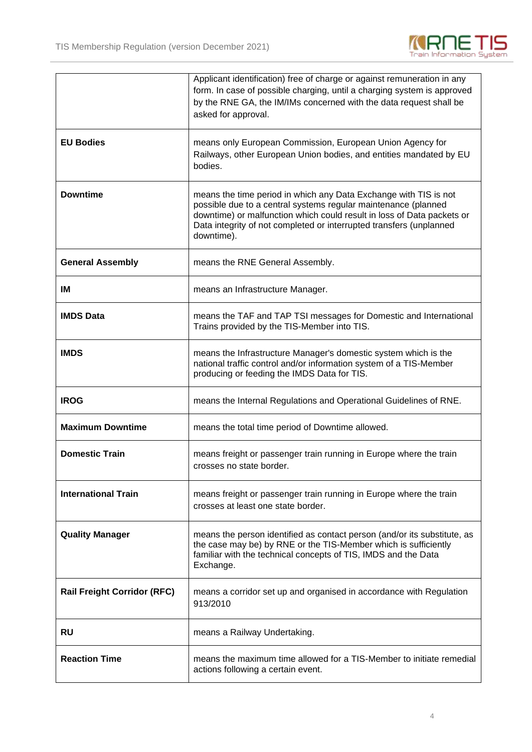

|                                    | Applicant identification) free of charge or against remuneration in any<br>form. In case of possible charging, until a charging system is approved<br>by the RNE GA, the IM/IMs concerned with the data request shall be<br>asked for approval.                                                   |  |  |  |  |  |
|------------------------------------|---------------------------------------------------------------------------------------------------------------------------------------------------------------------------------------------------------------------------------------------------------------------------------------------------|--|--|--|--|--|
| <b>EU Bodies</b>                   | means only European Commission, European Union Agency for<br>Railways, other European Union bodies, and entities mandated by EU<br>bodies.                                                                                                                                                        |  |  |  |  |  |
| <b>Downtime</b>                    | means the time period in which any Data Exchange with TIS is not<br>possible due to a central systems regular maintenance (planned<br>downtime) or malfunction which could result in loss of Data packets or<br>Data integrity of not completed or interrupted transfers (unplanned<br>downtime). |  |  |  |  |  |
| <b>General Assembly</b>            | means the RNE General Assembly.                                                                                                                                                                                                                                                                   |  |  |  |  |  |
| IM                                 | means an Infrastructure Manager.                                                                                                                                                                                                                                                                  |  |  |  |  |  |
| <b>IMDS Data</b>                   | means the TAF and TAP TSI messages for Domestic and International<br>Trains provided by the TIS-Member into TIS.                                                                                                                                                                                  |  |  |  |  |  |
| <b>IMDS</b>                        | means the Infrastructure Manager's domestic system which is the<br>national traffic control and/or information system of a TIS-Member<br>producing or feeding the IMDS Data for TIS.                                                                                                              |  |  |  |  |  |
| <b>IROG</b>                        | means the Internal Regulations and Operational Guidelines of RNE.                                                                                                                                                                                                                                 |  |  |  |  |  |
| <b>Maximum Downtime</b>            | means the total time period of Downtime allowed.                                                                                                                                                                                                                                                  |  |  |  |  |  |
| <b>Domestic Train</b>              | means freight or passenger train running in Europe where the train<br>crosses no state border.                                                                                                                                                                                                    |  |  |  |  |  |
| <b>International Train</b>         | means freight or passenger train running in Europe where the train<br>crosses at least one state border.                                                                                                                                                                                          |  |  |  |  |  |
| <b>Quality Manager</b>             | means the person identified as contact person (and/or its substitute, as<br>the case may be) by RNE or the TIS-Member which is sufficiently<br>familiar with the technical concepts of TIS, IMDS and the Data<br>Exchange.                                                                        |  |  |  |  |  |
| <b>Rail Freight Corridor (RFC)</b> | means a corridor set up and organised in accordance with Regulation<br>913/2010                                                                                                                                                                                                                   |  |  |  |  |  |
| <b>RU</b>                          | means a Railway Undertaking.                                                                                                                                                                                                                                                                      |  |  |  |  |  |
| <b>Reaction Time</b>               | means the maximum time allowed for a TIS-Member to initiate remedial<br>actions following a certain event.                                                                                                                                                                                        |  |  |  |  |  |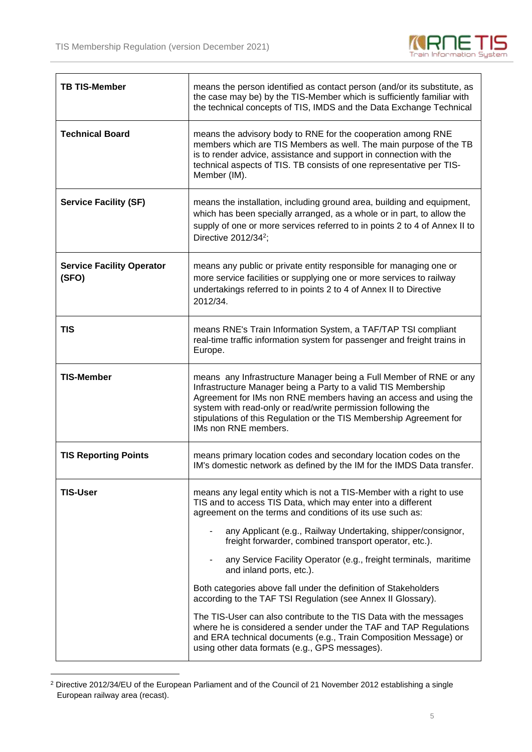

| <b>TB TIS-Member</b>                      | means the person identified as contact person (and/or its substitute, as<br>the case may be) by the TIS-Member which is sufficiently familiar with<br>the technical concepts of TIS, IMDS and the Data Exchange Technical                                                                                                                                                                                                                                                                                                                                                                                                                                                                                                                                                                                                       |  |  |  |  |  |
|-------------------------------------------|---------------------------------------------------------------------------------------------------------------------------------------------------------------------------------------------------------------------------------------------------------------------------------------------------------------------------------------------------------------------------------------------------------------------------------------------------------------------------------------------------------------------------------------------------------------------------------------------------------------------------------------------------------------------------------------------------------------------------------------------------------------------------------------------------------------------------------|--|--|--|--|--|
| <b>Technical Board</b>                    | means the advisory body to RNE for the cooperation among RNE<br>members which are TIS Members as well. The main purpose of the TB<br>is to render advice, assistance and support in connection with the<br>technical aspects of TIS. TB consists of one representative per TIS-<br>Member (IM).                                                                                                                                                                                                                                                                                                                                                                                                                                                                                                                                 |  |  |  |  |  |
| <b>Service Facility (SF)</b>              | means the installation, including ground area, building and equipment,<br>which has been specially arranged, as a whole or in part, to allow the<br>supply of one or more services referred to in points 2 to 4 of Annex II to<br>Directive 2012/34 <sup>2</sup> ;                                                                                                                                                                                                                                                                                                                                                                                                                                                                                                                                                              |  |  |  |  |  |
| <b>Service Facility Operator</b><br>(SFO) | means any public or private entity responsible for managing one or<br>more service facilities or supplying one or more services to railway<br>undertakings referred to in points 2 to 4 of Annex II to Directive<br>2012/34.                                                                                                                                                                                                                                                                                                                                                                                                                                                                                                                                                                                                    |  |  |  |  |  |
| TIS                                       | means RNE's Train Information System, a TAF/TAP TSI compliant<br>real-time traffic information system for passenger and freight trains in<br>Europe.                                                                                                                                                                                                                                                                                                                                                                                                                                                                                                                                                                                                                                                                            |  |  |  |  |  |
| <b>TIS-Member</b>                         | means any Infrastructure Manager being a Full Member of RNE or any<br>Infrastructure Manager being a Party to a valid TIS Membership<br>Agreement for IMs non RNE members having an access and using the<br>system with read-only or read/write permission following the<br>stipulations of this Regulation or the TIS Membership Agreement for<br>IMs non RNE members.                                                                                                                                                                                                                                                                                                                                                                                                                                                         |  |  |  |  |  |
| <b>TIS Reporting Points</b>               | means primary location codes and secondary location codes on the<br>IM's domestic network as defined by the IM for the IMDS Data transfer.                                                                                                                                                                                                                                                                                                                                                                                                                                                                                                                                                                                                                                                                                      |  |  |  |  |  |
| <b>TIS-User</b>                           | means any legal entity which is not a TIS-Member with a right to use<br>TIS and to access TIS Data, which may enter into a different<br>agreement on the terms and conditions of its use such as:<br>any Applicant (e.g., Railway Undertaking, shipper/consignor,<br>freight forwarder, combined transport operator, etc.).<br>any Service Facility Operator (e.g., freight terminals, maritime<br>and inland ports, etc.).<br>Both categories above fall under the definition of Stakeholders<br>according to the TAF TSI Regulation (see Annex II Glossary).<br>The TIS-User can also contribute to the TIS Data with the messages<br>where he is considered a sender under the TAF and TAP Regulations<br>and ERA technical documents (e.g., Train Composition Message) or<br>using other data formats (e.g., GPS messages). |  |  |  |  |  |

<sup>2</sup> Directive 2012/34/EU of the European Parliament and of the Council of 21 November 2012 establishing a single European railway area (recast).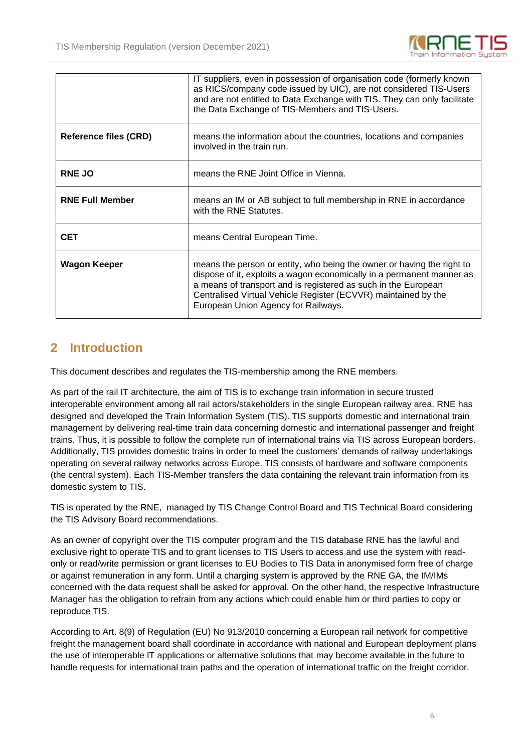

|                              | IT suppliers, even in possession of organisation code (formerly known<br>as RICS/company code issued by UIC), are not considered TIS-Users<br>and are not entitled to Data Exchange with TIS. They can only facilitate<br>the Data Exchange of TIS-Members and TIS-Users.                                                  |  |  |  |  |
|------------------------------|----------------------------------------------------------------------------------------------------------------------------------------------------------------------------------------------------------------------------------------------------------------------------------------------------------------------------|--|--|--|--|
| <b>Reference files (CRD)</b> | means the information about the countries, locations and companies<br>involved in the train run.                                                                                                                                                                                                                           |  |  |  |  |
| <b>RNE JO</b>                | means the RNE Joint Office in Vienna.                                                                                                                                                                                                                                                                                      |  |  |  |  |
| <b>RNE Full Member</b>       | means an IM or AB subject to full membership in RNE in accordance<br>with the RNE Statutes.                                                                                                                                                                                                                                |  |  |  |  |
| <b>CET</b>                   | means Central European Time.                                                                                                                                                                                                                                                                                               |  |  |  |  |
| <b>Wagon Keeper</b>          | means the person or entity, who being the owner or having the right to<br>dispose of it, exploits a wagon economically in a permanent manner as<br>a means of transport and is registered as such in the European<br>Centralised Virtual Vehicle Register (ECVVR) maintained by the<br>European Union Agency for Railways. |  |  |  |  |

### **2 Introduction**

This document describes and regulates the TIS-membership among the RNE members.

As part of the rail IT architecture, the aim of TIS is to exchange train information in secure trusted interoperable environment among all rail actors/stakeholders in the single European railway area. RNE has designed and developed the Train Information System (TIS). TIS supports domestic and international train management by delivering real-time train data concerning domestic and international passenger and freight trains. Thus, it is possible to follow the complete run of international trains via TIS across European borders. Additionally, TIS provides domestic trains in order to meet the customers' demands of railway undertakings operating on several railway networks across Europe. TIS consists of hardware and software components (the central system). Each TIS-Member transfers the data containing the relevant train information from its domestic system to TIS.

TIS is operated by the RNE, managed by TIS Change Control Board and TIS Technical Board considering the TIS Advisory Board recommendations.

As an owner of copyright over the TIS computer program and the TIS database RNE has the lawful and exclusive right to operate TIS and to grant licenses to TIS Users to access and use the system with readonly or read/write permission or grant licenses to EU Bodies to TIS Data in anonymised form free of charge or against remuneration in any form. Until a charging system is approved by the RNE GA, the IM/IMs concerned with the data request shall be asked for approval. On the other hand, the respective Infrastructure Manager has the obligation to refrain from any actions which could enable him or third parties to copy or reproduce TIS.

According to Art. 8(9) of Regulation (EU) No 913/2010 concerning a European rail network for competitive freight the management board shall coordinate in accordance with national and European deployment plans the use of interoperable IT applications or alternative solutions that may become available in the future to handle requests for international train paths and the operation of international traffic on the freight corridor.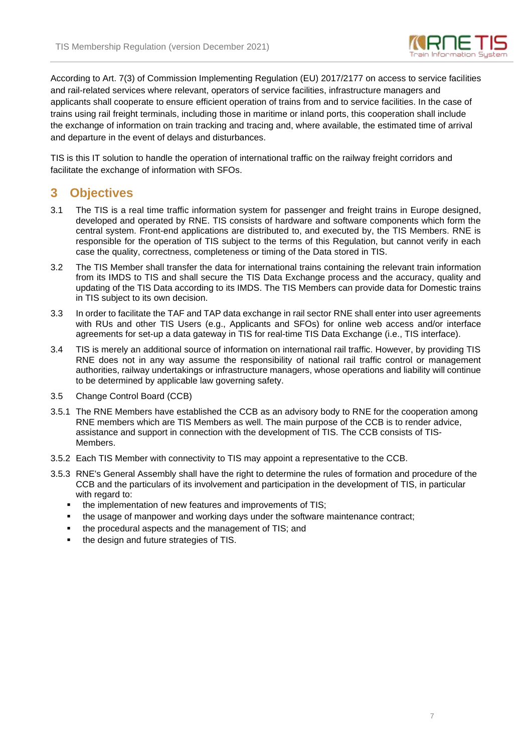

According to Art. 7(3) of Commission Implementing Regulation (EU) 2017/2177 on access to service facilities and rail-related services where relevant, operators of service facilities, infrastructure managers and applicants shall cooperate to ensure efficient operation of trains from and to service facilities. In the case of trains using rail freight terminals, including those in maritime or inland ports, this cooperation shall include the exchange of information on train tracking and tracing and, where available, the estimated time of arrival and departure in the event of delays and disturbances.

TIS is this IT solution to handle the operation of international traffic on the railway freight corridors and facilitate the exchange of information with SFOs.

#### **3 Objectives**

- 3.1 The TIS is a real time traffic information system for passenger and freight trains in Europe designed, developed and operated by RNE. TIS consists of hardware and software components which form the central system. Front-end applications are distributed to, and executed by, the TIS Members. RNE is responsible for the operation of TIS subject to the terms of this Regulation, but cannot verify in each case the quality, correctness, completeness or timing of the Data stored in TIS.
- 3.2 The TIS Member shall transfer the data for international trains containing the relevant train information from its IMDS to TIS and shall secure the TIS Data Exchange process and the accuracy, quality and updating of the TIS Data according to its IMDS. The TIS Members can provide data for Domestic trains in TIS subject to its own decision.
- 3.3 In order to facilitate the TAF and TAP data exchange in rail sector RNE shall enter into user agreements with RUs and other TIS Users (e.g., Applicants and SFOs) for online web access and/or interface agreements for set-up a data gateway in TIS for real-time TIS Data Exchange (i.e., TIS interface).
- 3.4 TIS is merely an additional source of information on international rail traffic. However, by providing TIS RNE does not in any way assume the responsibility of national rail traffic control or management authorities, railway undertakings or infrastructure managers, whose operations and liability will continue to be determined by applicable law governing safety.
- 3.5 Change Control Board (CCB)
- 3.5.1 The RNE Members have established the CCB as an advisory body to RNE for the cooperation among RNE members which are TIS Members as well. The main purpose of the CCB is to render advice, assistance and support in connection with the development of TIS. The CCB consists of TIS-Members.
- 3.5.2 Each TIS Member with connectivity to TIS may appoint a representative to the CCB.
- 3.5.3 RNE's General Assembly shall have the right to determine the rules of formation and procedure of the CCB and the particulars of its involvement and participation in the development of TIS, in particular with regard to:
	- the implementation of new features and improvements of TIS;
	- the usage of manpower and working days under the software maintenance contract;
	- the procedural aspects and the management of TIS; and
	- the design and future strategies of TIS.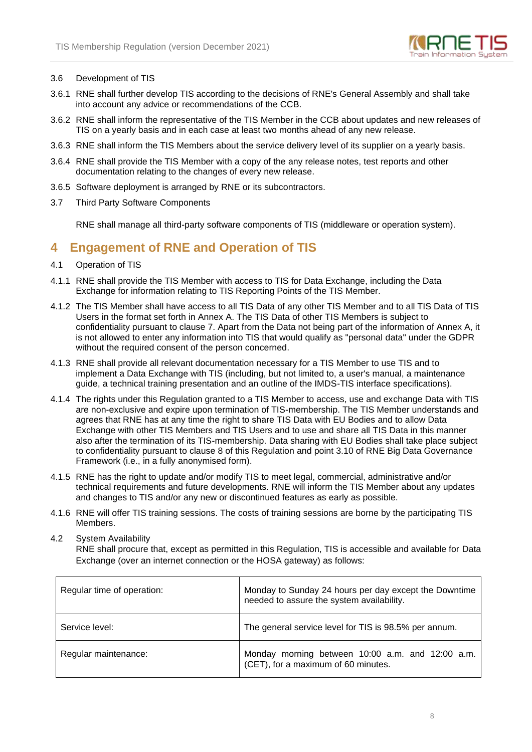

#### 3.6 Development of TIS

- 3.6.1 RNE shall further develop TIS according to the decisions of RNE's General Assembly and shall take into account any advice or recommendations of the CCB.
- 3.6.2 RNE shall inform the representative of the TIS Member in the CCB about updates and new releases of TIS on a yearly basis and in each case at least two months ahead of any new release.
- 3.6.3 RNE shall inform the TIS Members about the service delivery level of its supplier on a yearly basis.
- 3.6.4 RNE shall provide the TIS Member with a copy of the any release notes, test reports and other documentation relating to the changes of every new release.
- 3.6.5 Software deployment is arranged by RNE or its subcontractors.
- 3.7 Third Party Software Components

RNE shall manage all third-party software components of TIS (middleware or operation system).

#### **4 Engagement of RNE and Operation of TIS**

- 4.1 Operation of TIS
- 4.1.1 RNE shall provide the TIS Member with access to TIS for Data Exchange, including the Data Exchange for information relating to TIS Reporting Points of the TIS Member.
- 4.1.2 The TIS Member shall have access to all TIS Data of any other TIS Member and to all TIS Data of TIS Users in the format set forth in Annex A. The TIS Data of other TIS Members is subject to confidentiality pursuant to clause 7. Apart from the Data not being part of the information of Annex A, it is not allowed to enter any information into TIS that would qualify as "personal data" under the GDPR without the required consent of the person concerned.
- 4.1.3 RNE shall provide all relevant documentation necessary for a TIS Member to use TIS and to implement a Data Exchange with TIS (including, but not limited to, a user's manual, a maintenance guide, a technical training presentation and an outline of the IMDS-TIS interface specifications).
- 4.1.4 The rights under this Regulation granted to a TIS Member to access, use and exchange Data with TIS are non-exclusive and expire upon termination of TIS-membership. The TIS Member understands and agrees that RNE has at any time the right to share TIS Data with EU Bodies and to allow Data Exchange with other TIS Members and TIS Users and to use and share all TIS Data in this manner also after the termination of its TIS-membership. Data sharing with EU Bodies shall take place subject to confidentiality pursuant to clause 8 of this Regulation and point 3.10 of RNE Big Data Governance Framework (i.e., in a fully anonymised form).
- 4.1.5 RNE has the right to update and/or modify TIS to meet legal, commercial, administrative and/or technical requirements and future developments. RNE will inform the TIS Member about any updates and changes to TIS and/or any new or discontinued features as early as possible.
- 4.1.6 RNE will offer TIS training sessions. The costs of training sessions are borne by the participating TIS Members.
- 4.2 System Availability

RNE shall procure that, except as permitted in this Regulation, TIS is accessible and available for Data Exchange (over an internet connection or the HOSA gateway) as follows:

| Regular time of operation: | Monday to Sunday 24 hours per day except the Downtime<br>needed to assure the system availability. |  |  |
|----------------------------|----------------------------------------------------------------------------------------------------|--|--|
| Service level:             | The general service level for TIS is 98.5% per annum.                                              |  |  |
| Regular maintenance:       | Monday morning between 10:00 a.m. and 12:00 a.m.<br>(CET), for a maximum of 60 minutes.            |  |  |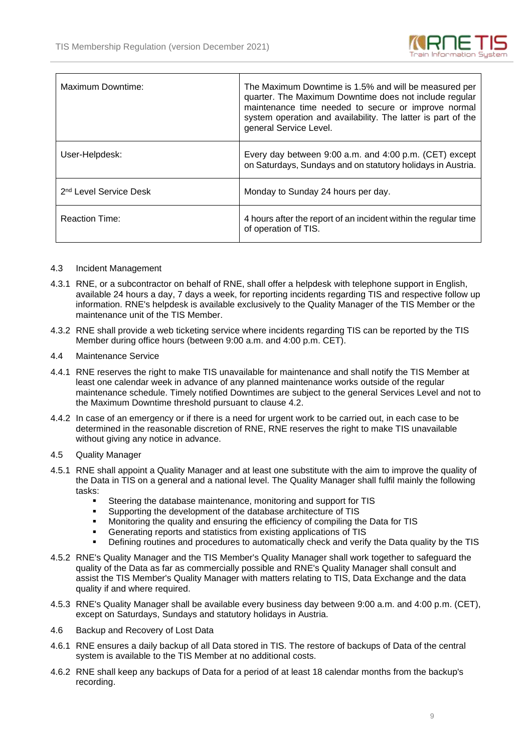

| Maximum Downtime:                  | The Maximum Downtime is 1.5% and will be measured per<br>quarter. The Maximum Downtime does not include regular<br>maintenance time needed to secure or improve normal<br>system operation and availability. The latter is part of the<br>general Service Level. |
|------------------------------------|------------------------------------------------------------------------------------------------------------------------------------------------------------------------------------------------------------------------------------------------------------------|
| User-Helpdesk:                     | Every day between 9:00 a.m. and 4:00 p.m. (CET) except<br>on Saturdays, Sundays and on statutory holidays in Austria.                                                                                                                                            |
| 2 <sup>nd</sup> Level Service Desk | Monday to Sunday 24 hours per day.                                                                                                                                                                                                                               |
| <b>Reaction Time:</b>              | 4 hours after the report of an incident within the regular time<br>of operation of TIS.                                                                                                                                                                          |

#### 4.3 Incident Management

- 4.3.1 RNE, or a subcontractor on behalf of RNE, shall offer a helpdesk with telephone support in English, available 24 hours a day, 7 days a week, for reporting incidents regarding TIS and respective follow up information. RNE's helpdesk is available exclusively to the Quality Manager of the TIS Member or the maintenance unit of the TIS Member.
- 4.3.2 RNE shall provide a web ticketing service where incidents regarding TIS can be reported by the TIS Member during office hours (between 9:00 a.m. and 4:00 p.m. CET).
- 4.4 Maintenance Service
- 4.4.1 RNE reserves the right to make TIS unavailable for maintenance and shall notify the TIS Member at least one calendar week in advance of any planned maintenance works outside of the regular maintenance schedule. Timely notified Downtimes are subject to the general Services Level and not to the Maximum Downtime threshold pursuant to clause 4.2.
- 4.4.2 In case of an emergency or if there is a need for urgent work to be carried out, in each case to be determined in the reasonable discretion of RNE, RNE reserves the right to make TIS unavailable without giving any notice in advance.
- 4.5 Quality Manager
- 4.5.1 RNE shall appoint a Quality Manager and at least one substitute with the aim to improve the quality of the Data in TIS on a general and a national level. The Quality Manager shall fulfil mainly the following tasks:
	- **EXECTE:** Steering the database maintenance, monitoring and support for TIS
	- Supporting the development of the database architecture of TIS
	- **■** Monitoring the quality and ensuring the efficiency of compiling the Data for TIS
	- **EXECUTE:** Generating reports and statistics from existing applications of TIS
	- Defining routines and procedures to automatically check and verify the Data quality by the TIS
- 4.5.2 RNE's Quality Manager and the TIS Member's Quality Manager shall work together to safeguard the quality of the Data as far as commercially possible and RNE's Quality Manager shall consult and assist the TIS Member's Quality Manager with matters relating to TIS, Data Exchange and the data quality if and where required.
- 4.5.3 RNE's Quality Manager shall be available every business day between 9:00 a.m. and 4:00 p.m. (CET), except on Saturdays, Sundays and statutory holidays in Austria.
- 4.6 Backup and Recovery of Lost Data
- 4.6.1 RNE ensures a daily backup of all Data stored in TIS. The restore of backups of Data of the central system is available to the TIS Member at no additional costs.
- 4.6.2 RNE shall keep any backups of Data for a period of at least 18 calendar months from the backup's recording.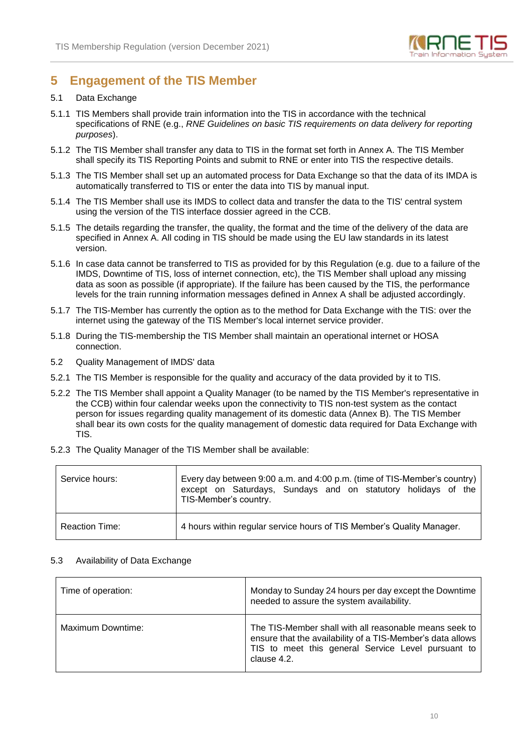

### **5 Engagement of the TIS Member**

#### 5.1 Data Exchange

- 5.1.1 TIS Members shall provide train information into the TIS in accordance with the technical specifications of RNE (e.g., *RNE Guidelines on basic TIS requirements on data delivery for reporting purposes*).
- 5.1.2 The TIS Member shall transfer any data to TIS in the format set forth in Annex A. The TIS Member shall specify its TIS Reporting Points and submit to RNE or enter into TIS the respective details.
- 5.1.3 The TIS Member shall set up an automated process for Data Exchange so that the data of its IMDA is automatically transferred to TIS or enter the data into TIS by manual input.
- 5.1.4 The TIS Member shall use its IMDS to collect data and transfer the data to the TIS' central system using the version of the TIS interface dossier agreed in the CCB.
- 5.1.5 The details regarding the transfer, the quality, the format and the time of the delivery of the data are specified in Annex A. All coding in TIS should be made using the EU law standards in its latest version.
- 5.1.6 In case data cannot be transferred to TIS as provided for by this Regulation (e.g. due to a failure of the IMDS, Downtime of TIS, loss of internet connection, etc), the TIS Member shall upload any missing data as soon as possible (if appropriate). If the failure has been caused by the TIS, the performance levels for the train running information messages defined in Annex A shall be adjusted accordingly.
- 5.1.7 The TIS-Member has currently the option as to the method for Data Exchange with the TIS: over the internet using the gateway of the TIS Member's local internet service provider.
- 5.1.8 During the TIS-membership the TIS Member shall maintain an operational internet or HOSA connection.
- 5.2 Quality Management of IMDS' data
- 5.2.1 The TIS Member is responsible for the quality and accuracy of the data provided by it to TIS.
- 5.2.2 The TIS Member shall appoint a Quality Manager (to be named by the TIS Member's representative in the CCB) within four calendar weeks upon the connectivity to TIS non-test system as the contact person for issues regarding quality management of its domestic data (Annex B). The TIS Member shall bear its own costs for the quality management of domestic data required for Data Exchange with TIS.
- 5.2.3 The Quality Manager of the TIS Member shall be available:

| Service hours:        | Every day between 9:00 a.m. and 4:00 p.m. (time of TIS-Member's country)  <br>except on Saturdays, Sundays and on statutory holidays of the<br>TIS-Member's country. |
|-----------------------|----------------------------------------------------------------------------------------------------------------------------------------------------------------------|
| <b>Reaction Time:</b> | 4 hours within regular service hours of TIS Member's Quality Manager.                                                                                                |

#### 5.3 Availability of Data Exchange

| Time of operation: | Monday to Sunday 24 hours per day except the Downtime<br>needed to assure the system availability.                                                                                        |
|--------------------|-------------------------------------------------------------------------------------------------------------------------------------------------------------------------------------------|
| Maximum Downtime:  | The TIS-Member shall with all reasonable means seek to<br>ensure that the availability of a TIS-Member's data allows<br>TIS to meet this general Service Level pursuant to<br>clause 4.2. |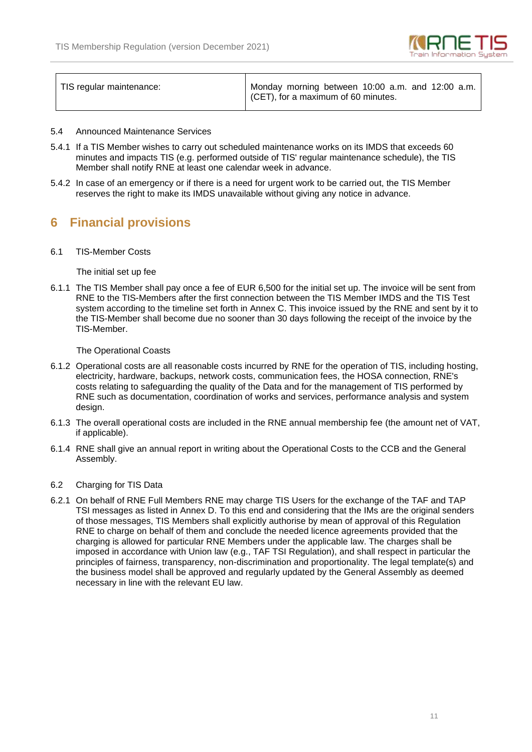

| TIS regular maintenance: | Monday morning between 10:00 a.m. and 12:00 a.m.<br>CET), for a maximum of 60 minutes. |
|--------------------------|----------------------------------------------------------------------------------------|
|                          |                                                                                        |

- 5.4 Announced Maintenance Services
- 5.4.1 If a TIS Member wishes to carry out scheduled maintenance works on its IMDS that exceeds 60 minutes and impacts TIS (e.g. performed outside of TIS' regular maintenance schedule), the TIS Member shall notify RNE at least one calendar week in advance.
- 5.4.2 In case of an emergency or if there is a need for urgent work to be carried out, the TIS Member reserves the right to make its IMDS unavailable without giving any notice in advance.

### **6 Financial provisions**

6.1 TIS-Member Costs

The initial set up fee

6.1.1 The TIS Member shall pay once a fee of EUR 6,500 for the initial set up. The invoice will be sent from RNE to the TIS-Members after the first connection between the TIS Member IMDS and the TIS Test system according to the timeline set forth in Annex C. This invoice issued by the RNE and sent by it to the TIS-Member shall become due no sooner than 30 days following the receipt of the invoice by the TIS-Member.

The Operational Coasts

- 6.1.2 Operational costs are all reasonable costs incurred by RNE for the operation of TIS, including hosting, electricity, hardware, backups, network costs, communication fees, the HOSA connection, RNE's costs relating to safeguarding the quality of the Data and for the management of TIS performed by RNE such as documentation, coordination of works and services, performance analysis and system design.
- 6.1.3 The overall operational costs are included in the RNE annual membership fee (the amount net of VAT, if applicable).
- 6.1.4 RNE shall give an annual report in writing about the Operational Costs to the CCB and the General Assembly.
- 6.2 Charging for TIS Data
- 6.2.1 On behalf of RNE Full Members RNE may charge TIS Users for the exchange of the TAF and TAP TSI messages as listed in Annex D. To this end and considering that the IMs are the original senders of those messages, TIS Members shall explicitly authorise by mean of approval of this Regulation RNE to charge on behalf of them and conclude the needed licence agreements provided that the charging is allowed for particular RNE Members under the applicable law. The charges shall be imposed in accordance with Union law (e.g., TAF TSI Regulation), and shall respect in particular the principles of fairness, transparency, non-discrimination and proportionality. The legal template(s) and the business model shall be approved and regularly updated by the General Assembly as deemed necessary in line with the relevant EU law.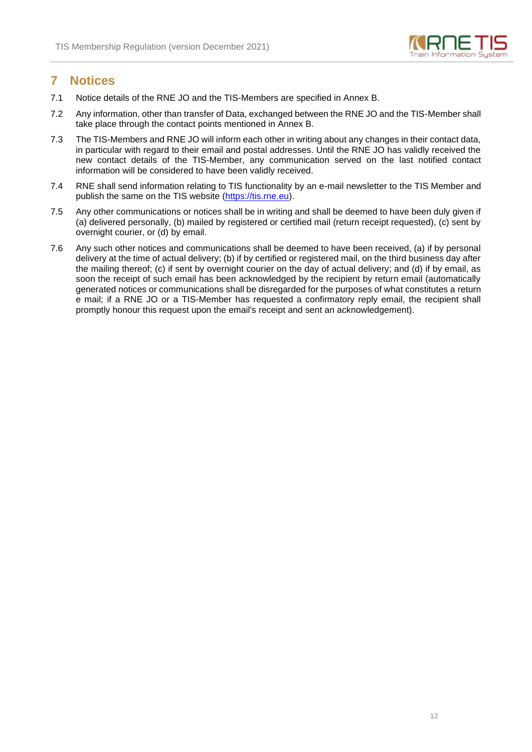

#### **7 Notices**

- 7.1 Notice details of the RNE JO and the TIS-Members are specified in Annex B.
- 7.2 Any information, other than transfer of Data, exchanged between the RNE JO and the TIS-Member shall take place through the contact points mentioned in Annex B.
- 7.3 The TIS-Members and RNE JO will inform each other in writing about any changes in their contact data, in particular with regard to their email and postal addresses. Until the RNE JO has validly received the new contact details of the TIS-Member, any communication served on the last notified contact information will be considered to have been validly received.
- 7.4 RNE shall send information relating to TIS functionality by an e-mail newsletter to the TIS Member and publish the same on the TIS website [\(https://tis.rne.eu\)](https://tis.rne.eu/).
- 7.5 Any other communications or notices shall be in writing and shall be deemed to have been duly given if (a) delivered personally, (b) mailed by registered or certified mail (return receipt requested), (c) sent by overnight courier, or (d) by email.
- 7.6 Any such other notices and communications shall be deemed to have been received, (a) if by personal delivery at the time of actual delivery; (b) if by certified or registered mail, on the third business day after the mailing thereof; (c) if sent by overnight courier on the day of actual delivery; and (d) if by email, as soon the receipt of such email has been acknowledged by the recipient by return email (automatically generated notices or communications shall be disregarded for the purposes of what constitutes a return e mail; if a RNE JO or a TIS-Member has requested a confirmatory reply email, the recipient shall promptly honour this request upon the email's receipt and sent an acknowledgement).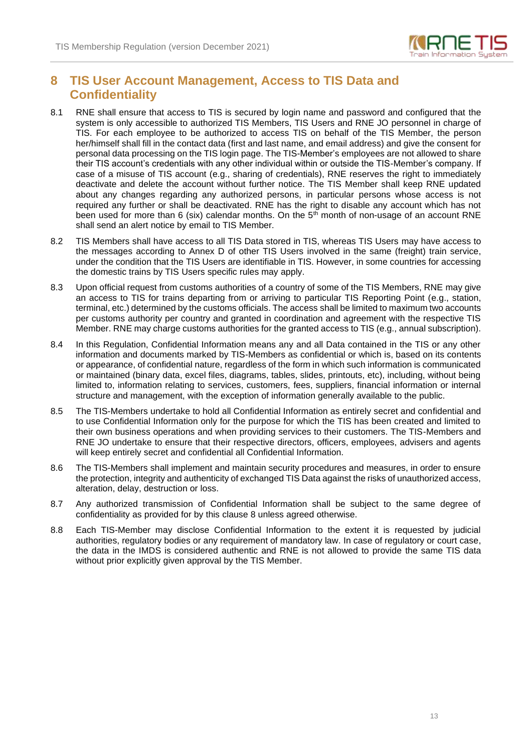

### **8 TIS User Account Management, Access to TIS Data and Confidentiality**

- 8.1 RNE shall ensure that access to TIS is secured by login name and password and configured that the system is only accessible to authorized TIS Members, TIS Users and RNE JO personnel in charge of TIS. For each employee to be authorized to access TIS on behalf of the TIS Member, the person her/himself shall fill in the contact data (first and last name, and email address) and give the consent for personal data processing on the TIS login page. The TIS-Member's employees are not allowed to share their TIS account's credentials with any other individual within or outside the TIS-Member's company. If case of a misuse of TIS account (e.g., sharing of credentials), RNE reserves the right to immediately deactivate and delete the account without further notice. The TIS Member shall keep RNE updated about any changes regarding any authorized persons, in particular persons whose access is not required any further or shall be deactivated. RNE has the right to disable any account which has not been used for more than 6 (six) calendar months. On the  $5<sup>th</sup>$  month of non-usage of an account RNE shall send an alert notice by email to TIS Member.
- 8.2 TIS Members shall have access to all TIS Data stored in TIS, whereas TIS Users may have access to the messages according to Annex D of other TIS Users involved in the same (freight) train service, under the condition that the TIS Users are identifiable in TIS. However, in some countries for accessing the domestic trains by TIS Users specific rules may apply.
- 8.3 Upon official request from customs authorities of a country of some of the TIS Members, RNE may give an access to TIS for trains departing from or arriving to particular TIS Reporting Point (e.g., station, terminal, etc.) determined by the customs officials. The access shall be limited to maximum two accounts per customs authority per country and granted in coordination and agreement with the respective TIS Member. RNE may charge customs authorities for the granted access to TIS (e.g., annual subscription).
- 8.4 In this Regulation, Confidential Information means any and all Data contained in the TIS or any other information and documents marked by TIS-Members as confidential or which is, based on its contents or appearance, of confidential nature, regardless of the form in which such information is communicated or maintained (binary data, excel files, diagrams, tables, slides, printouts, etc), including, without being limited to, information relating to services, customers, fees, suppliers, financial information or internal structure and management, with the exception of information generally available to the public.
- 8.5 The TIS-Members undertake to hold all Confidential Information as entirely secret and confidential and to use Confidential Information only for the purpose for which the TIS has been created and limited to their own business operations and when providing services to their customers. The TIS-Members and RNE JO undertake to ensure that their respective directors, officers, employees, advisers and agents will keep entirely secret and confidential all Confidential Information.
- 8.6 The TIS-Members shall implement and maintain security procedures and measures, in order to ensure the protection, integrity and authenticity of exchanged TIS Data against the risks of unauthorized access, alteration, delay, destruction or loss.
- 8.7 Any authorized transmission of Confidential Information shall be subject to the same degree of confidentiality as provided for by this clause 8 unless agreed otherwise.
- 8.8 Each TIS-Member may disclose Confidential Information to the extent it is requested by judicial authorities, regulatory bodies or any requirement of mandatory law. In case of regulatory or court case, the data in the IMDS is considered authentic and RNE is not allowed to provide the same TIS data without prior explicitly given approval by the TIS Member.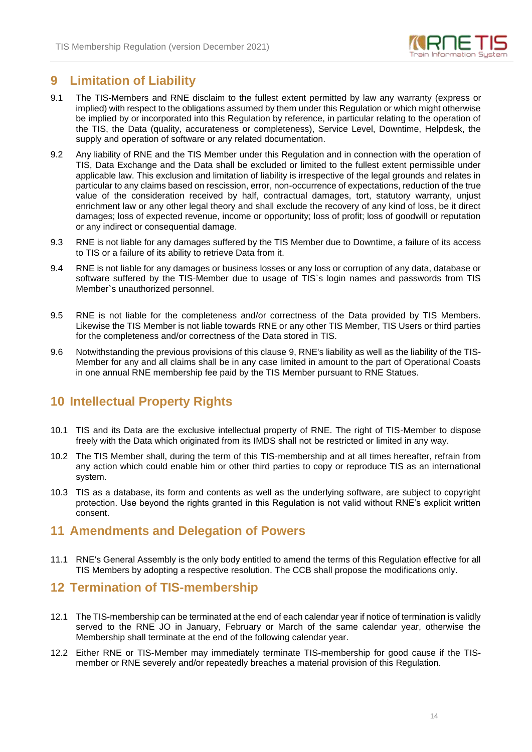

### **9 Limitation of Liability**

- 9.1 The TIS-Members and RNE disclaim to the fullest extent permitted by law any warranty (express or implied) with respect to the obligations assumed by them under this Regulation or which might otherwise be implied by or incorporated into this Regulation by reference, in particular relating to the operation of the TIS, the Data (quality, accurateness or completeness), Service Level, Downtime, Helpdesk, the supply and operation of software or any related documentation.
- 9.2 Any liability of RNE and the TIS Member under this Regulation and in connection with the operation of TIS, Data Exchange and the Data shall be excluded or limited to the fullest extent permissible under applicable law. This exclusion and limitation of liability is irrespective of the legal grounds and relates in particular to any claims based on rescission, error, non-occurrence of expectations, reduction of the true value of the consideration received by half, contractual damages, tort, statutory warranty, unjust enrichment law or any other legal theory and shall exclude the recovery of any kind of loss, be it direct damages; loss of expected revenue, income or opportunity; loss of profit; loss of goodwill or reputation or any indirect or consequential damage.
- 9.3 RNE is not liable for any damages suffered by the TIS Member due to Downtime, a failure of its access to TIS or a failure of its ability to retrieve Data from it.
- 9.4 RNE is not liable for any damages or business losses or any loss or corruption of any data, database or software suffered by the TIS-Member due to usage of TIS`s login names and passwords from TIS Member`s unauthorized personnel.
- 9.5 RNE is not liable for the completeness and/or correctness of the Data provided by TIS Members. Likewise the TIS Member is not liable towards RNE or any other TIS Member, TIS Users or third parties for the completeness and/or correctness of the Data stored in TIS.
- 9.6 Notwithstanding the previous provisions of this clause 9, RNE's liability as well as the liability of the TIS-Member for any and all claims shall be in any case limited in amount to the part of Operational Coasts in one annual RNE membership fee paid by the TIS Member pursuant to RNE Statues.

### **10 Intellectual Property Rights**

- 10.1 TIS and its Data are the exclusive intellectual property of RNE. The right of TIS-Member to dispose freely with the Data which originated from its IMDS shall not be restricted or limited in any way.
- 10.2 The TIS Member shall, during the term of this TIS-membership and at all times hereafter, refrain from any action which could enable him or other third parties to copy or reproduce TIS as an international system.
- 10.3 TIS as a database, its form and contents as well as the underlying software, are subject to copyright protection. Use beyond the rights granted in this Regulation is not valid without RNE's explicit written consent.

#### **11 Amendments and Delegation of Powers**

11.1 RNE's General Assembly is the only body entitled to amend the terms of this Regulation effective for all TIS Members by adopting a respective resolution. The CCB shall propose the modifications only.

#### **12 Termination of TIS-membership**

- 12.1 The TIS-membership can be terminated at the end of each calendar year if notice of termination is validly served to the RNE JO in January, February or March of the same calendar year, otherwise the Membership shall terminate at the end of the following calendar year.
- 12.2 Either RNE or TIS-Member may immediately terminate TIS-membership for good cause if the TISmember or RNE severely and/or repeatedly breaches a material provision of this Regulation.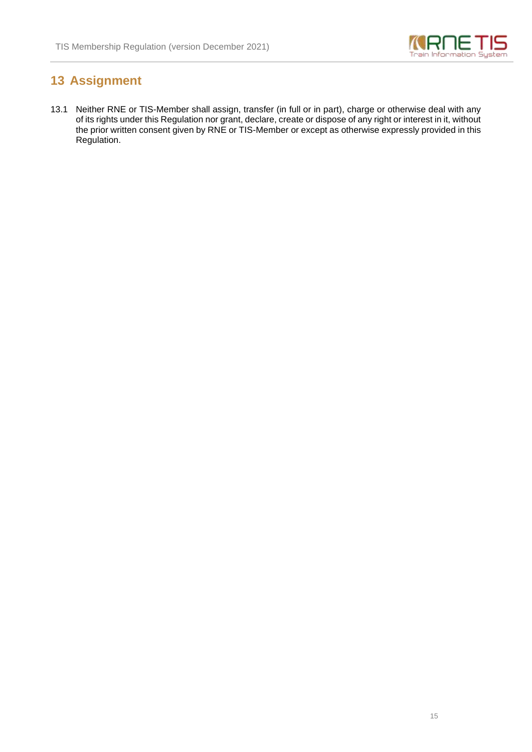

# **13 Assignment**

13.1 Neither RNE or TIS-Member shall assign, transfer (in full or in part), charge or otherwise deal with any of its rights under this Regulation nor grant, declare, create or dispose of any right or interest in it, without the prior written consent given by RNE or TIS-Member or except as otherwise expressly provided in this Regulation.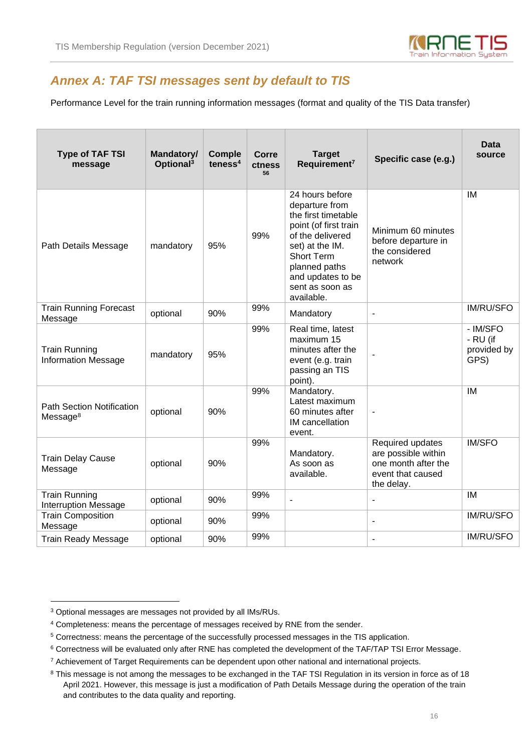

## *Annex A: TAF TSI messages sent by default to TIS*

Performance Level for the train running information messages (format and quality of the TIS Data transfer)

| <b>Type of TAF TSI</b><br>message                        | Mandatory/<br>Optional <sup>3</sup> | <b>Comple</b><br>teness $4$ | Corre<br>ctness<br>56 | <b>Target</b><br>Requirement <sup>7</sup>                                                                                                                                                                     | Specific case (e.g.)                                                                              | Data<br>source                              |
|----------------------------------------------------------|-------------------------------------|-----------------------------|-----------------------|---------------------------------------------------------------------------------------------------------------------------------------------------------------------------------------------------------------|---------------------------------------------------------------------------------------------------|---------------------------------------------|
| Path Details Message                                     | mandatory                           | 95%                         | 99%                   | 24 hours before<br>departure from<br>the first timetable<br>point (of first train<br>of the delivered<br>set) at the IM.<br>Short Term<br>planned paths<br>and updates to be<br>sent as soon as<br>available. | Minimum 60 minutes<br>before departure in<br>the considered<br>network                            | IM                                          |
| <b>Train Running Forecast</b><br>Message                 | optional                            | 90%                         | 99%                   | Mandatory                                                                                                                                                                                                     | $\overline{\phantom{a}}$                                                                          | <b>IM/RU/SFO</b>                            |
| <b>Train Running</b><br><b>Information Message</b>       | mandatory                           | 95%                         | 99%                   | Real time, latest<br>maximum 15<br>minutes after the<br>event (e.g. train<br>passing an TIS<br>point).                                                                                                        | $\overline{a}$                                                                                    | - IM/SFO<br>- RU (if<br>provided by<br>GPS) |
| <b>Path Section Notification</b><br>Message <sup>8</sup> | optional                            | 90%                         | 99%                   | Mandatory.<br>Latest maximum<br>60 minutes after<br>IM cancellation<br>event.                                                                                                                                 | ÷,                                                                                                | IM                                          |
| <b>Train Delay Cause</b><br>Message                      | optional                            | 90%                         | 99%                   | Mandatory.<br>As soon as<br>available.                                                                                                                                                                        | Required updates<br>are possible within<br>one month after the<br>event that caused<br>the delay. | <b>IM/SFO</b>                               |
| <b>Train Running</b><br><b>Interruption Message</b>      | optional                            | 90%                         | 99%                   | ÷,                                                                                                                                                                                                            | $\overline{\phantom{a}}$                                                                          | <b>IM</b>                                   |
| <b>Train Composition</b><br>Message                      | optional                            | 90%                         | 99%                   |                                                                                                                                                                                                               | ä,                                                                                                | <b>IM/RU/SFO</b>                            |
| <b>Train Ready Message</b>                               | optional                            | 90%                         | 99%                   |                                                                                                                                                                                                               | $\overline{\phantom{a}}$                                                                          | <b>IM/RU/SFO</b>                            |

<sup>3</sup> Optional messages are messages not provided by all IMs/RUs.

<sup>4</sup> Completeness: means the percentage of messages received by RNE from the sender.

<sup>5</sup> Correctness: means the percentage of the successfully processed messages in the TIS application.

<sup>6</sup> Correctness will be evaluated only after RNE has completed the development of the TAF/TAP TSI Error Message.

<sup>7</sup> Achievement of Target Requirements can be dependent upon other national and international projects.

<sup>&</sup>lt;sup>8</sup> This message is not among the messages to be exchanged in the TAF TSI Regulation in its version in force as of 18 April 2021. However, this message is just a modification of Path Details Message during the operation of the train and contributes to the data quality and reporting.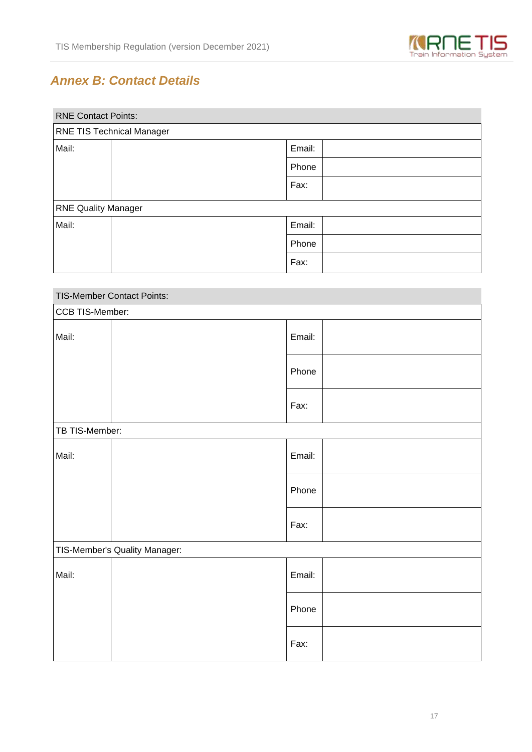

# *Annex B: Contact Details*

| <b>RNE Contact Points:</b>       |  |        |  |  |
|----------------------------------|--|--------|--|--|
| <b>RNE TIS Technical Manager</b> |  |        |  |  |
| Mail:                            |  | Email: |  |  |
|                                  |  | Phone  |  |  |
|                                  |  | Fax:   |  |  |
| <b>RNE Quality Manager</b>       |  |        |  |  |
| Mail:                            |  | Email: |  |  |
|                                  |  | Phone  |  |  |
|                                  |  | Fax:   |  |  |

| TIS-Member Contact Points:    |  |        |  |  |
|-------------------------------|--|--------|--|--|
| CCB TIS-Member:               |  |        |  |  |
| Mail:                         |  | Email: |  |  |
|                               |  | Phone  |  |  |
|                               |  | Fax:   |  |  |
| TB TIS-Member:                |  |        |  |  |
| Mail:                         |  | Email: |  |  |
|                               |  | Phone  |  |  |
|                               |  | Fax:   |  |  |
| TIS-Member's Quality Manager: |  |        |  |  |
| Mail:                         |  | Email: |  |  |
|                               |  | Phone  |  |  |
|                               |  | Fax:   |  |  |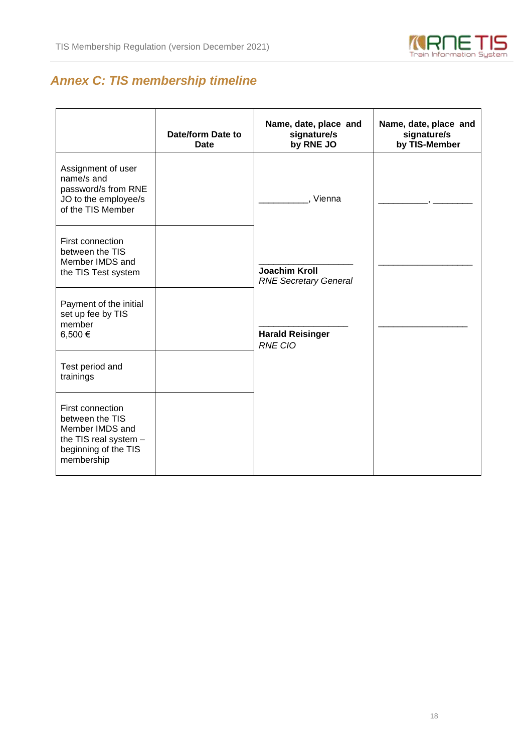

# *Annex C: TIS membership timeline*

|                                                                                                                       | Date/form Date to<br><b>Date</b> | Name, date, place and<br>signature/s<br>by RNE JO    | Name, date, place and<br>signature/s<br>by TIS-Member |
|-----------------------------------------------------------------------------------------------------------------------|----------------------------------|------------------------------------------------------|-------------------------------------------------------|
| Assignment of user<br>name/s and<br>password/s from RNE<br>JO to the employee/s<br>of the TIS Member                  |                                  | , Vienna                                             |                                                       |
| First connection<br>between the TIS<br>Member IMDS and<br>the TIS Test system                                         |                                  | <b>Joachim Kroll</b><br><b>RNE Secretary General</b> |                                                       |
| Payment of the initial<br>set up fee by TIS<br>member<br>6,500€                                                       |                                  | <b>Harald Reisinger</b><br>RNE CIO                   |                                                       |
| Test period and<br>trainings                                                                                          |                                  |                                                      |                                                       |
| First connection<br>between the TIS<br>Member IMDS and<br>the TIS real system -<br>beginning of the TIS<br>membership |                                  |                                                      |                                                       |